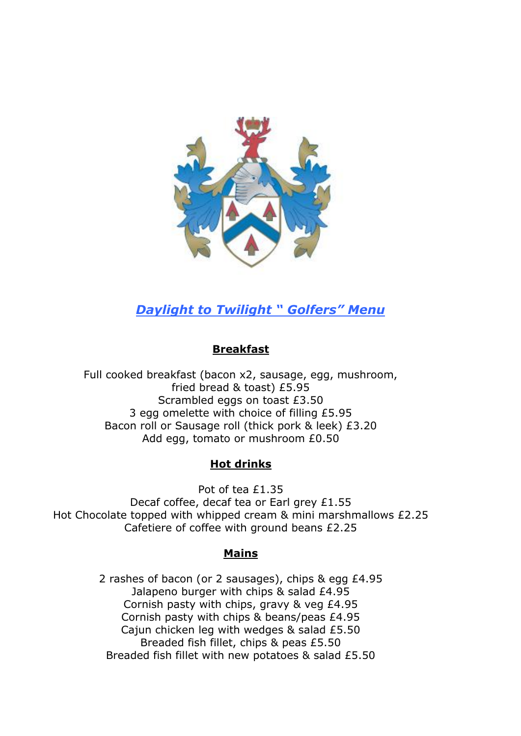

# *Daylight to Twilight " Golfers" Menu*

## **Breakfast**

Full cooked breakfast (bacon x2, sausage, egg, mushroom, fried bread & toast) £5.95 Scrambled eggs on toast £3.50 3 egg omelette with choice of filling £5.95 Bacon roll or Sausage roll (thick pork & leek) £3.20 Add egg, tomato or mushroom £0.50

### **Hot drinks**

Pot of tea £1.35 Decaf coffee, decaf tea or Earl grey £1.55 Hot Chocolate topped with whipped cream & mini marshmallows £2.25 Cafetiere of coffee with ground beans £2.25

### **Mains**

2 rashes of bacon (or 2 sausages), chips & egg £4.95 Jalapeno burger with chips & salad £4.95 Cornish pasty with chips, gravy & veg £4.95 Cornish pasty with chips & beans/peas £4.95 Cajun chicken leg with wedges & salad £5.50 Breaded fish fillet, chips & peas £5.50 Breaded fish fillet with new potatoes & salad £5.50